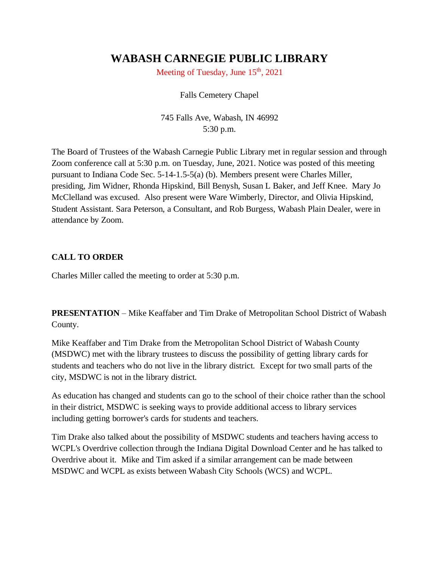# **WABASH CARNEGIE PUBLIC LIBRARY**

Meeting of Tuesday, June  $15<sup>th</sup>$ , 2021

Falls Cemetery Chapel

745 Falls Ave, Wabash, IN 46992 5:30 p.m.

The Board of Trustees of the Wabash Carnegie Public Library met in regular session and through Zoom conference call at 5:30 p.m. on Tuesday, June, 2021. Notice was posted of this meeting pursuant to Indiana Code Sec. 5-14-1.5-5(a) (b). Members present were Charles Miller, presiding, Jim Widner, Rhonda Hipskind, Bill Benysh, Susan L Baker, and Jeff Knee. Mary Jo McClelland was excused. Also present were Ware Wimberly, Director, and Olivia Hipskind, Student Assistant. Sara Peterson, a Consultant, and Rob Burgess, Wabash Plain Dealer, were in attendance by Zoom.

## **CALL TO ORDER**

Charles Miller called the meeting to order at 5:30 p.m.

**PRESENTATION** – Mike Keaffaber and Tim Drake of Metropolitan School District of Wabash County.

Mike Keaffaber and Tim Drake from the Metropolitan School District of Wabash County (MSDWC) met with the library trustees to discuss the possibility of getting library cards for students and teachers who do not live in the library district. Except for two small parts of the city, MSDWC is not in the library district.

As education has changed and students can go to the school of their choice rather than the school in their district, MSDWC is seeking ways to provide additional access to library services including getting borrower's cards for students and teachers.

Tim Drake also talked about the possibility of MSDWC students and teachers having access to WCPL's Overdrive collection through the Indiana Digital Download Center and he has talked to Overdrive about it. Mike and Tim asked if a similar arrangement can be made between MSDWC and WCPL as exists between Wabash City Schools (WCS) and WCPL.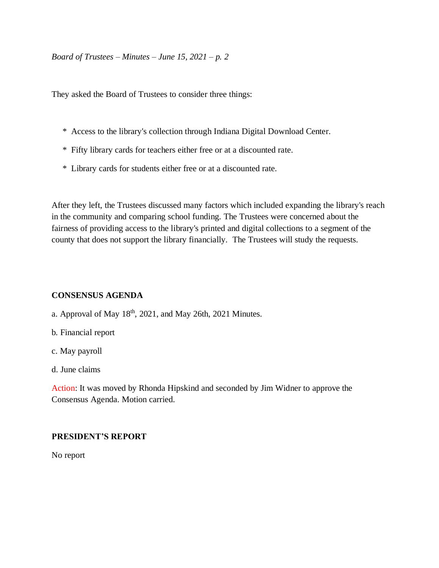They asked the Board of Trustees to consider three things:

- \* Access to the library's collection through Indiana Digital Download Center.
- \* Fifty library cards for teachers either free or at a discounted rate.
- \* Library cards for students either free or at a discounted rate.

After they left, the Trustees discussed many factors which included expanding the library's reach in the community and comparing school funding. The Trustees were concerned about the fairness of providing access to the library's printed and digital collections to a segment of the county that does not support the library financially. The Trustees will study the requests.

#### **CONSENSUS AGENDA**

- a. Approval of May 18<sup>th</sup>, 2021, and May 26th, 2021 Minutes.
- b. Financial report
- c. May payroll
- d. June claims

Action: It was moved by Rhonda Hipskind and seconded by Jim Widner to approve the Consensus Agenda. Motion carried.

#### **PRESIDENT'S REPORT**

No report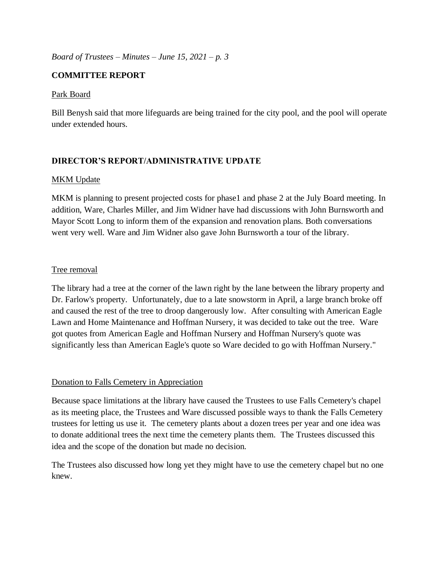## **COMMITTEE REPORT**

## Park Board

Bill Benysh said that more lifeguards are being trained for the city pool, and the pool will operate under extended hours.

## **DIRECTOR'S REPORT/ADMINISTRATIVE UPDATE**

## MKM Update

MKM is planning to present projected costs for phase1 and phase 2 at the July Board meeting. In addition, Ware, Charles Miller, and Jim Widner have had discussions with John Burnsworth and Mayor Scott Long to inform them of the expansion and renovation plans. Both conversations went very well. Ware and Jim Widner also gave John Burnsworth a tour of the library.

## Tree removal

The library had a tree at the corner of the lawn right by the lane between the library property and Dr. Farlow's property. Unfortunately, due to a late snowstorm in April, a large branch broke off and caused the rest of the tree to droop dangerously low. After consulting with American Eagle Lawn and Home Maintenance and Hoffman Nursery, it was decided to take out the tree. Ware got quotes from American Eagle and Hoffman Nursery and Hoffman Nursery's quote was significantly less than American Eagle's quote so Ware decided to go with Hoffman Nursery."

## Donation to Falls Cemetery in Appreciation

Because space limitations at the library have caused the Trustees to use Falls Cemetery's chapel as its meeting place, the Trustees and Ware discussed possible ways to thank the Falls Cemetery trustees for letting us use it. The cemetery plants about a dozen trees per year and one idea was to donate additional trees the next time the cemetery plants them. The Trustees discussed this idea and the scope of the donation but made no decision.

The Trustees also discussed how long yet they might have to use the cemetery chapel but no one knew.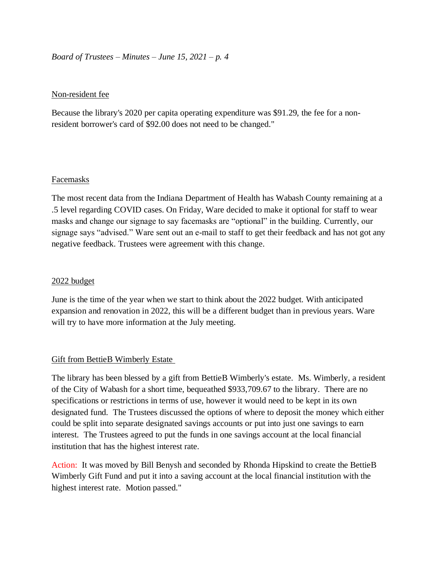#### Non-resident fee

Because the library's 2020 per capita operating expenditure was \$91.29, the fee for a nonresident borrower's card of \$92.00 does not need to be changed."

#### Facemasks

The most recent data from the Indiana Department of Health has Wabash County remaining at a .5 level regarding COVID cases. On Friday, Ware decided to make it optional for staff to wear masks and change our signage to say facemasks are "optional" in the building. Currently, our signage says "advised." Ware sent out an e-mail to staff to get their feedback and has not got any negative feedback. Trustees were agreement with this change.

#### 2022 budget

June is the time of the year when we start to think about the 2022 budget. With anticipated expansion and renovation in 2022, this will be a different budget than in previous years. Ware will try to have more information at the July meeting.

#### Gift from BettieB Wimberly Estate

The library has been blessed by a gift from BettieB Wimberly's estate. Ms. Wimberly, a resident of the City of Wabash for a short time, bequeathed \$933,709.67 to the library. There are no specifications or restrictions in terms of use, however it would need to be kept in its own designated fund. The Trustees discussed the options of where to deposit the money which either could be split into separate designated savings accounts or put into just one savings to earn interest. The Trustees agreed to put the funds in one savings account at the local financial institution that has the highest interest rate.

Action: It was moved by Bill Benysh and seconded by Rhonda Hipskind to create the BettieB Wimberly Gift Fund and put it into a saving account at the local financial institution with the highest interest rate. Motion passed."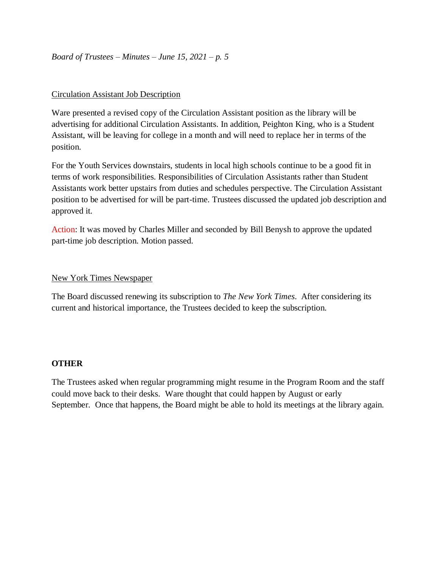#### Circulation Assistant Job Description

Ware presented a revised copy of the Circulation Assistant position as the library will be advertising for additional Circulation Assistants. In addition, Peighton King, who is a Student Assistant, will be leaving for college in a month and will need to replace her in terms of the position.

For the Youth Services downstairs, students in local high schools continue to be a good fit in terms of work responsibilities. Responsibilities of Circulation Assistants rather than Student Assistants work better upstairs from duties and schedules perspective. The Circulation Assistant position to be advertised for will be part-time. Trustees discussed the updated job description and approved it.

Action: It was moved by Charles Miller and seconded by Bill Benysh to approve the updated part-time job description. Motion passed.

## New York Times Newspaper

The Board discussed renewing its subscription to *The New York Times*. After considering its current and historical importance, the Trustees decided to keep the subscription.

#### **OTHER**

The Trustees asked when regular programming might resume in the Program Room and the staff could move back to their desks. Ware thought that could happen by August or early September. Once that happens, the Board might be able to hold its meetings at the library again.